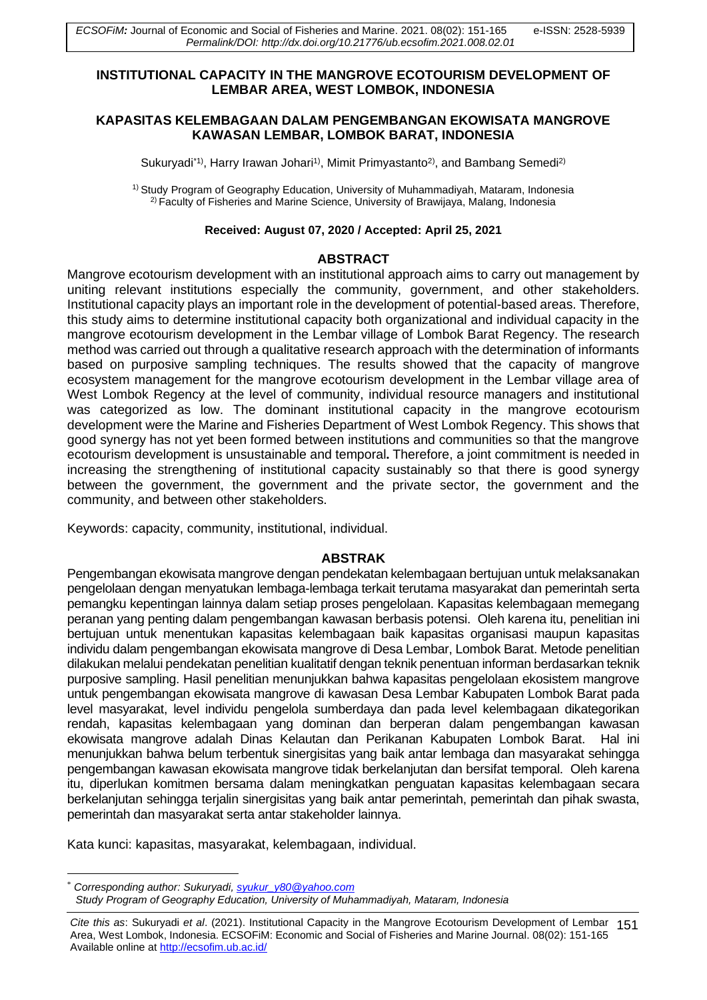### **INSTITUTIONAL CAPACITY IN THE MANGROVE ECOTOURISM DEVELOPMENT OF LEMBAR AREA, WEST LOMBOK, INDONESIA**

### **KAPASITAS KELEMBAGAAN DALAM PENGEMBANGAN EKOWISATA MANGROVE KAWASAN LEMBAR, LOMBOK BARAT, INDONESIA**

Sukuryadi<sup>\*1)</sup>, Harry Irawan Johari<sup>1)</sup>, Mimit Primyastanto<sup>2)</sup>, and Bambang Semedi<sup>2)</sup>

<sup>1)</sup> Study Program of Geography Education, University of Muhammadiyah, Mataram, Indonesia 2) Faculty of Fisheries and Marine Science, University of Brawijaya, Malang, Indonesia

#### **Received: August 07, 2020 / Accepted: April 25, 2021**

#### **ABSTRACT**

Mangrove ecotourism development with an institutional approach aims to carry out management by uniting relevant institutions especially the community, government, and other stakeholders. Institutional capacity plays an important role in the development of potential-based areas. Therefore, this study aims to determine institutional capacity both organizational and individual capacity in the mangrove ecotourism development in the Lembar village of Lombok Barat Regency. The research method was carried out through a qualitative research approach with the determination of informants based on purposive sampling techniques. The results showed that the capacity of mangrove ecosystem management for the mangrove ecotourism development in the Lembar village area of West Lombok Regency at the level of community, individual resource managers and institutional was categorized as low. The dominant institutional capacity in the mangrove ecotourism development were the Marine and Fisheries Department of West Lombok Regency. This shows that good synergy has not yet been formed between institutions and communities so that the mangrove ecotourism development is unsustainable and temporal**.** Therefore, a joint commitment is needed in increasing the strengthening of institutional capacity sustainably so that there is good synergy between the government, the government and the private sector, the government and the community, and between other stakeholders.

Keywords: capacity, community, institutional, individual.

#### **ABSTRAK**

Pengembangan ekowisata mangrove dengan pendekatan kelembagaan bertujuan untuk melaksanakan pengelolaan dengan menyatukan lembaga-lembaga terkait terutama masyarakat dan pemerintah serta pemangku kepentingan lainnya dalam setiap proses pengelolaan. Kapasitas kelembagaan memegang peranan yang penting dalam pengembangan kawasan berbasis potensi. Oleh karena itu, penelitian ini bertujuan untuk menentukan kapasitas kelembagaan baik kapasitas organisasi maupun kapasitas individu dalam pengembangan ekowisata mangrove di Desa Lembar, Lombok Barat. Metode penelitian dilakukan melalui pendekatan penelitian kualitatif dengan teknik penentuan informan berdasarkan teknik purposive sampling. Hasil penelitian menunjukkan bahwa kapasitas pengelolaan ekosistem mangrove untuk pengembangan ekowisata mangrove di kawasan Desa Lembar Kabupaten Lombok Barat pada level masyarakat, level individu pengelola sumberdaya dan pada level kelembagaan dikategorikan rendah, kapasitas kelembagaan yang dominan dan berperan dalam pengembangan kawasan ekowisata mangrove adalah Dinas Kelautan dan Perikanan Kabupaten Lombok Barat. Hal ini menunjukkan bahwa belum terbentuk sinergisitas yang baik antar lembaga dan masyarakat sehingga pengembangan kawasan ekowisata mangrove tidak berkelanjutan dan bersifat temporal. Oleh karena itu, diperlukan komitmen bersama dalam meningkatkan penguatan kapasitas kelembagaan secara berkelanjutan sehingga terjalin sinergisitas yang baik antar pemerintah, pemerintah dan pihak swasta, pemerintah dan masyarakat serta antar stakeholder lainnya.

Kata kunci: kapasitas, masyarakat, kelembagaan, individual.

<sup>\*</sup> *Corresponding author: Sukuryadi[, syukur\\_y80@yahoo.com](mailto:syukur_y80@yahoo.com) Study Program of Geography Education, University of Muhammadiyah, Mataram, Indonesia*

Area, West Lombok, Indonesia. ECSOFiM: Economic and Social of Fisheries and Marine Journal. 08(02): 151-165 *Cite this as*: Sukuryadi *et al*. (2021). Institutional Capacity in the Mangrove Ecotourism Development of Lembar 151 Available online a[t http://ecsofim.ub.ac.id/](http://ecsofim.ub.ac.id/)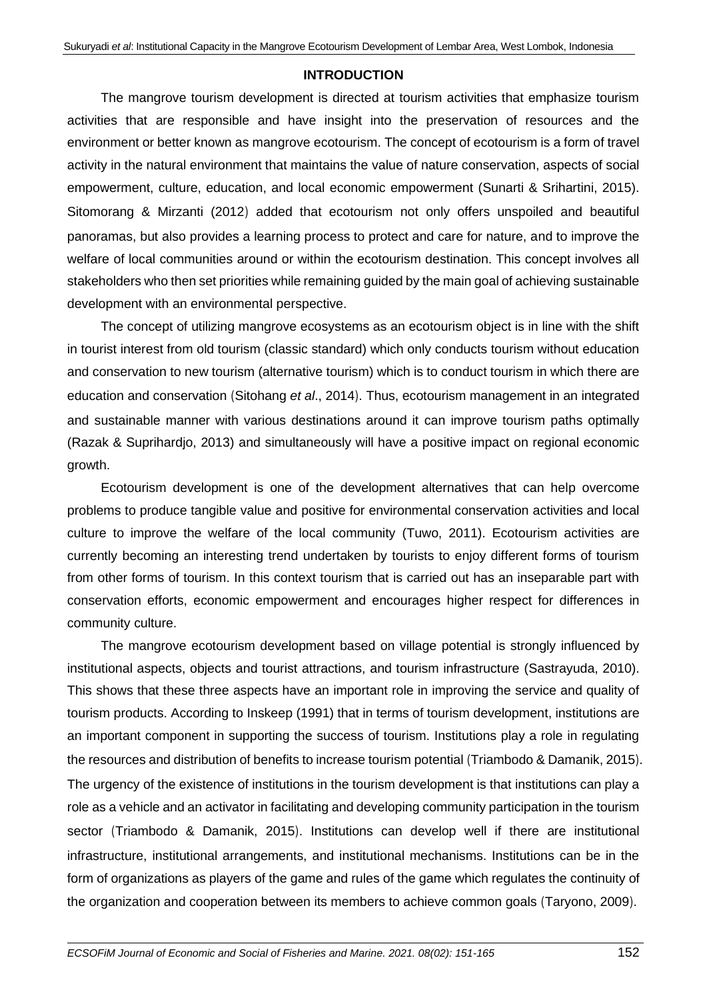### **INTRODUCTION**

The mangrove tourism development is directed at tourism activities that emphasize tourism activities that are responsible and have insight into the preservation of resources and the environment or better known as mangrove ecotourism. The concept of ecotourism is a form of travel activity in the natural environment that maintains the value of nature conservation, aspects of social empowerment, culture, education, and local economic empowerment (Sunarti & Srihartini, 2015). Sitomorang & Mirzanti (2012) added that ecotourism not only offers unspoiled and beautiful panoramas, but also provides a learning process to protect and care for nature, and to improve the welfare of local communities around or within the ecotourism destination. This concept involves all stakeholders who then set priorities while remaining guided by the main goal of achieving sustainable development with an environmental perspective.

The concept of utilizing mangrove ecosystems as an ecotourism object is in line with the shift in tourist interest from old tourism (classic standard) which only conducts tourism without education and conservation to new tourism (alternative tourism) which is to conduct tourism in which there are education and conservation (Sitohang *et al*., 2014). Thus, ecotourism management in an integrated and sustainable manner with various destinations around it can improve tourism paths optimally (Razak & Suprihardjo, 2013) and simultaneously will have a positive impact on regional economic growth.

Ecotourism development is one of the development alternatives that can help overcome problems to produce tangible value and positive for environmental conservation activities and local culture to improve the welfare of the local community (Tuwo, 2011). Ecotourism activities are currently becoming an interesting trend undertaken by tourists to enjoy different forms of tourism from other forms of tourism. In this context tourism that is carried out has an inseparable part with conservation efforts, economic empowerment and encourages higher respect for differences in community culture.

The mangrove ecotourism development based on village potential is strongly influenced by institutional aspects, objects and tourist attractions, and tourism infrastructure (Sastrayuda, 2010). This shows that these three aspects have an important role in improving the service and quality of tourism products. According to Inskeep (1991) that in terms of tourism development, institutions are an important component in supporting the success of tourism. Institutions play a role in regulating the resources and distribution of benefits to increase tourism potential (Triambodo & Damanik, 2015). The urgency of the existence of institutions in the tourism development is that institutions can play a role as a vehicle and an activator in facilitating and developing community participation in the tourism sector (Triambodo & Damanik, 2015). Institutions can develop well if there are institutional infrastructure, institutional arrangements, and institutional mechanisms. Institutions can be in the form of organizations as players of the game and rules of the game which regulates the continuity of the organization and cooperation between its members to achieve common goals (Taryono, 2009).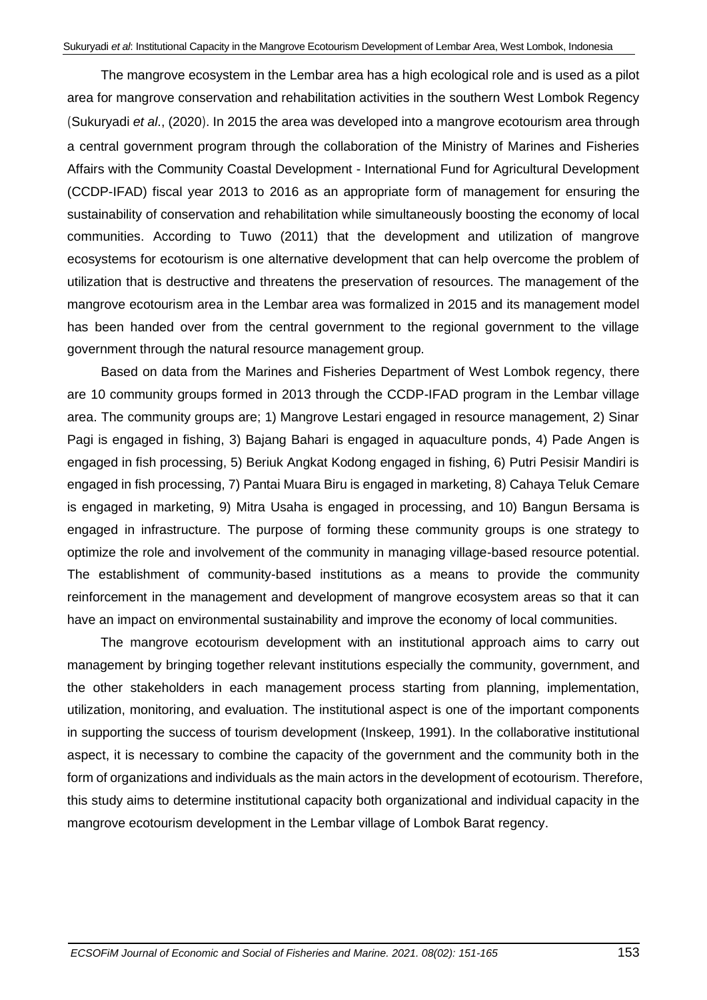The mangrove ecosystem in the Lembar area has a high ecological role and is used as a pilot area for mangrove conservation and rehabilitation activities in the southern West Lombok Regency (Sukuryadi *et al*., (2020). In 2015 the area was developed into a mangrove ecotourism area through a central government program through the collaboration of the Ministry of Marines and Fisheries Affairs with the Community Coastal Development - International Fund for Agricultural Development (CCDP-IFAD) fiscal year 2013 to 2016 as an appropriate form of management for ensuring the sustainability of conservation and rehabilitation while simultaneously boosting the economy of local communities. According to Tuwo (2011) that the development and utilization of mangrove ecosystems for ecotourism is one alternative development that can help overcome the problem of utilization that is destructive and threatens the preservation of resources. The management of the mangrove ecotourism area in the Lembar area was formalized in 2015 and its management model has been handed over from the central government to the regional government to the village government through the natural resource management group.

Based on data from the Marines and Fisheries Department of West Lombok regency, there are 10 community groups formed in 2013 through the CCDP-IFAD program in the Lembar village area. The community groups are; 1) Mangrove Lestari engaged in resource management, 2) Sinar Pagi is engaged in fishing, 3) Bajang Bahari is engaged in aquaculture ponds, 4) Pade Angen is engaged in fish processing, 5) Beriuk Angkat Kodong engaged in fishing, 6) Putri Pesisir Mandiri is engaged in fish processing, 7) Pantai Muara Biru is engaged in marketing, 8) Cahaya Teluk Cemare is engaged in marketing, 9) Mitra Usaha is engaged in processing, and 10) Bangun Bersama is engaged in infrastructure. The purpose of forming these community groups is one strategy to optimize the role and involvement of the community in managing village-based resource potential. The establishment of community-based institutions as a means to provide the community reinforcement in the management and development of mangrove ecosystem areas so that it can have an impact on environmental sustainability and improve the economy of local communities.

The mangrove ecotourism development with an institutional approach aims to carry out management by bringing together relevant institutions especially the community, government, and the other stakeholders in each management process starting from planning, implementation, utilization, monitoring, and evaluation. The institutional aspect is one of the important components in supporting the success of tourism development (Inskeep, 1991). In the collaborative institutional aspect, it is necessary to combine the capacity of the government and the community both in the form of organizations and individuals as the main actors in the development of ecotourism. Therefore, this study aims to determine institutional capacity both organizational and individual capacity in the mangrove ecotourism development in the Lembar village of Lombok Barat regency.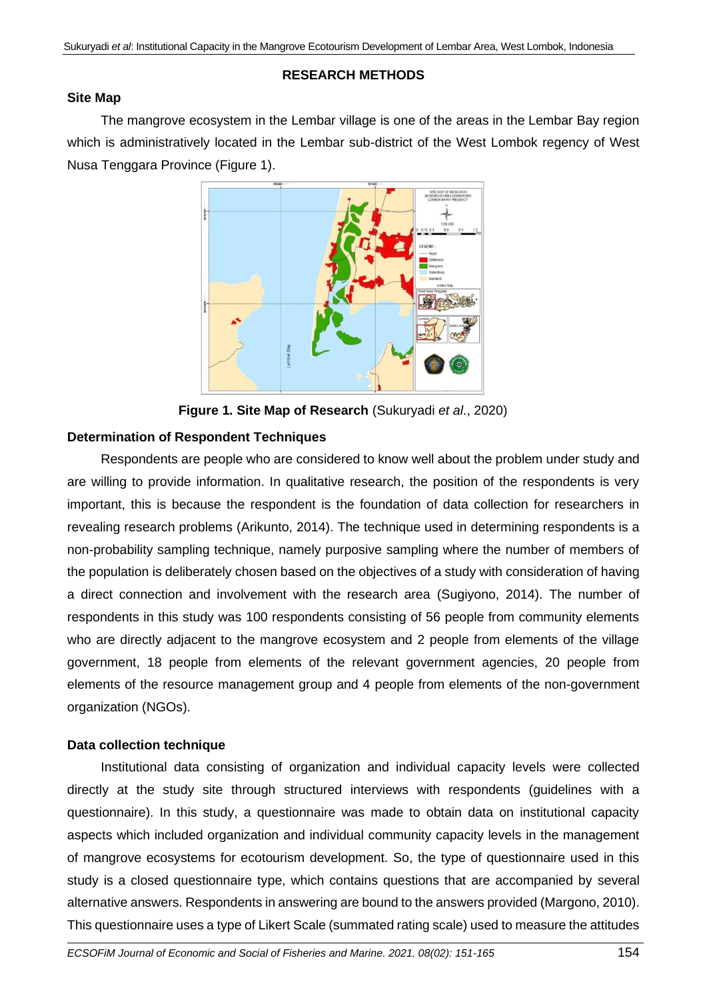# **RESEARCH METHODS**

## **Site Map**

The mangrove ecosystem in the Lembar village is one of the areas in the Lembar Bay region which is administratively located in the Lembar sub-district of the West Lombok regency of West Nusa Tenggara Province (Figure 1).



**Figure 1. Site Map of Research** (Sukuryadi *et al*., 2020)

## **Determination of Respondent Techniques**

Respondents are people who are considered to know well about the problem under study and are willing to provide information. In qualitative research, the position of the respondents is very important, this is because the respondent is the foundation of data collection for researchers in revealing research problems (Arikunto, 2014). The technique used in determining respondents is a non-probability sampling technique, namely purposive sampling where the number of members of the population is deliberately chosen based on the objectives of a study with consideration of having a direct connection and involvement with the research area (Sugiyono, 2014). The number of respondents in this study was 100 respondents consisting of 56 people from community elements who are directly adjacent to the mangrove ecosystem and 2 people from elements of the village government, 18 people from elements of the relevant government agencies, 20 people from elements of the resource management group and 4 people from elements of the non-government organization (NGOs).

# **Data collection technique**

Institutional data consisting of organization and individual capacity levels were collected directly at the study site through structured interviews with respondents (guidelines with a questionnaire). In this study, a questionnaire was made to obtain data on institutional capacity aspects which included organization and individual community capacity levels in the management of mangrove ecosystems for ecotourism development. So, the type of questionnaire used in this study is a closed questionnaire type, which contains questions that are accompanied by several alternative answers. Respondents in answering are bound to the answers provided (Margono, 2010). This questionnaire uses a type of Likert Scale (summated rating scale) used to measure the attitudes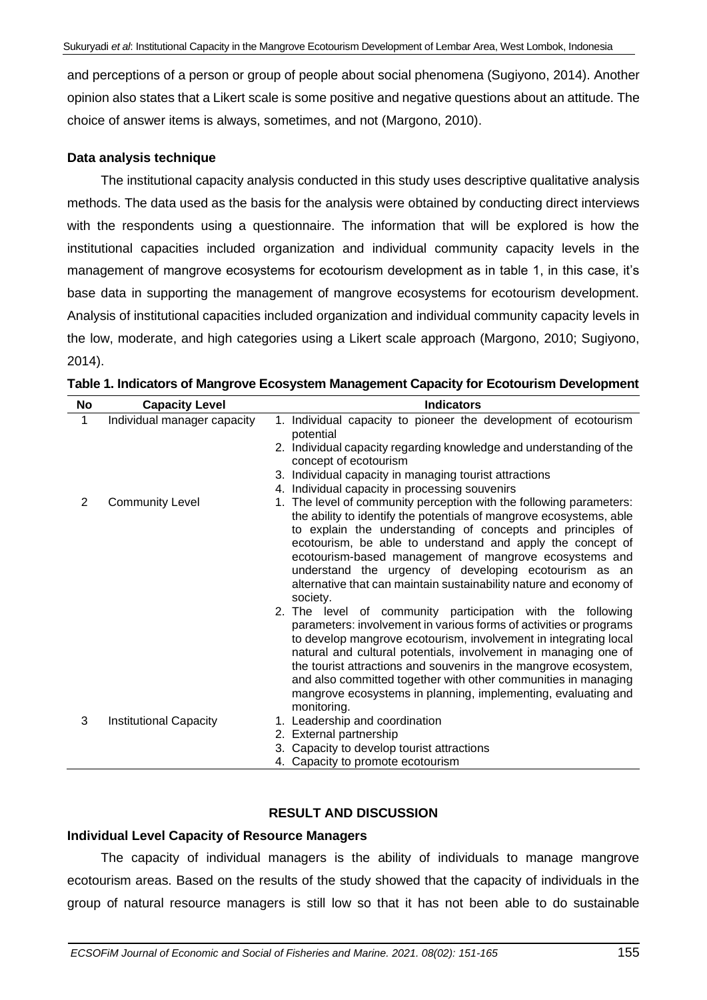and perceptions of a person or group of people about social phenomena (Sugiyono, 2014). Another opinion also states that a Likert scale is some positive and negative questions about an attitude. The choice of answer items is always, sometimes, and not (Margono, 2010).

### **Data analysis technique**

The institutional capacity analysis conducted in this study uses descriptive qualitative analysis methods. The data used as the basis for the analysis were obtained by conducting direct interviews with the respondents using a questionnaire. The information that will be explored is how the institutional capacities included organization and individual community capacity levels in the management of mangrove ecosystems for ecotourism development as in table 1, in this case, it's base data in supporting the management of mangrove ecosystems for ecotourism development. Analysis of institutional capacities included organization and individual community capacity levels in the low, moderate, and high categories using a Likert scale approach (Margono, 2010; Sugiyono, 2014).

| No             | <b>Capacity Level</b>         | <b>Indicators</b>                                                                                                                                                                                                                                                                                                                                                                                                                                                                             |
|----------------|-------------------------------|-----------------------------------------------------------------------------------------------------------------------------------------------------------------------------------------------------------------------------------------------------------------------------------------------------------------------------------------------------------------------------------------------------------------------------------------------------------------------------------------------|
| 1              | Individual manager capacity   | 1. Individual capacity to pioneer the development of ecotourism<br>potential                                                                                                                                                                                                                                                                                                                                                                                                                  |
|                |                               | 2. Individual capacity regarding knowledge and understanding of the<br>concept of ecotourism                                                                                                                                                                                                                                                                                                                                                                                                  |
|                |                               | 3. Individual capacity in managing tourist attractions                                                                                                                                                                                                                                                                                                                                                                                                                                        |
|                |                               | 4. Individual capacity in processing souvenirs                                                                                                                                                                                                                                                                                                                                                                                                                                                |
| $\overline{2}$ | <b>Community Level</b>        | The level of community perception with the following parameters:<br>1.                                                                                                                                                                                                                                                                                                                                                                                                                        |
|                |                               | the ability to identify the potentials of mangrove ecosystems, able<br>to explain the understanding of concepts and principles of<br>ecotourism, be able to understand and apply the concept of<br>ecotourism-based management of mangrove ecosystems and<br>understand the urgency of developing ecotourism as an<br>alternative that can maintain sustainability nature and economy of<br>society.                                                                                          |
|                |                               | 2. The level of community participation with the following<br>parameters: involvement in various forms of activities or programs<br>to develop mangrove ecotourism, involvement in integrating local<br>natural and cultural potentials, involvement in managing one of<br>the tourist attractions and souvenirs in the mangrove ecosystem,<br>and also committed together with other communities in managing<br>mangrove ecosystems in planning, implementing, evaluating and<br>monitoring. |
| 3              | <b>Institutional Capacity</b> | 1. Leadership and coordination                                                                                                                                                                                                                                                                                                                                                                                                                                                                |
|                |                               | 2. External partnership                                                                                                                                                                                                                                                                                                                                                                                                                                                                       |
|                |                               | 3. Capacity to develop tourist attractions                                                                                                                                                                                                                                                                                                                                                                                                                                                    |
|                |                               | 4. Capacity to promote ecotourism                                                                                                                                                                                                                                                                                                                                                                                                                                                             |

**Table 1. Indicators of Mangrove Ecosystem Management Capacity for Ecotourism Development**

### **RESULT AND DISCUSSION**

### **Individual Level Capacity of Resource Managers**

The capacity of individual managers is the ability of individuals to manage mangrove ecotourism areas. Based on the results of the study showed that the capacity of individuals in the group of natural resource managers is still low so that it has not been able to do sustainable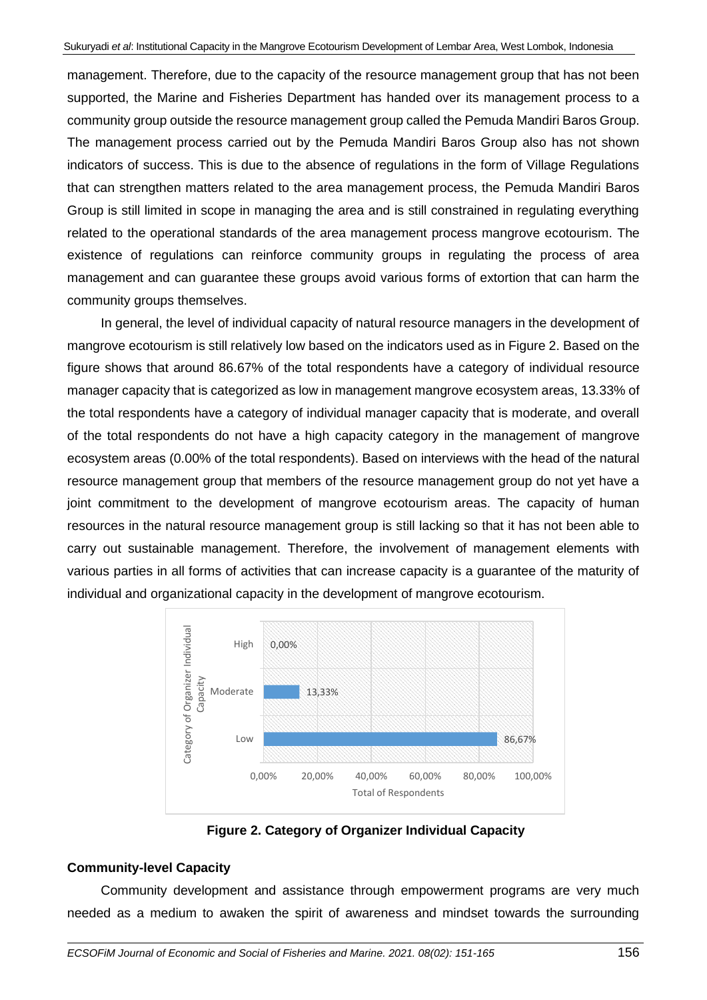management. Therefore, due to the capacity of the resource management group that has not been supported, the Marine and Fisheries Department has handed over its management process to a community group outside the resource management group called the Pemuda Mandiri Baros Group. The management process carried out by the Pemuda Mandiri Baros Group also has not shown indicators of success. This is due to the absence of regulations in the form of Village Regulations that can strengthen matters related to the area management process, the Pemuda Mandiri Baros Group is still limited in scope in managing the area and is still constrained in regulating everything related to the operational standards of the area management process mangrove ecotourism. The existence of regulations can reinforce community groups in regulating the process of area management and can guarantee these groups avoid various forms of extortion that can harm the community groups themselves.

In general, the level of individual capacity of natural resource managers in the development of mangrove ecotourism is still relatively low based on the indicators used as in Figure 2. Based on the figure shows that around 86.67% of the total respondents have a category of individual resource manager capacity that is categorized as low in management mangrove ecosystem areas, 13.33% of the total respondents have a category of individual manager capacity that is moderate, and overall of the total respondents do not have a high capacity category in the management of mangrove ecosystem areas (0.00% of the total respondents). Based on interviews with the head of the natural resource management group that members of the resource management group do not yet have a joint commitment to the development of mangrove ecotourism areas. The capacity of human resources in the natural resource management group is still lacking so that it has not been able to carry out sustainable management. Therefore, the involvement of management elements with various parties in all forms of activities that can increase capacity is a guarantee of the maturity of individual and organizational capacity in the development of mangrove ecotourism.



**Figure 2. Category of Organizer Individual Capacity**

# **Community-level Capacity**

Community development and assistance through empowerment programs are very much needed as a medium to awaken the spirit of awareness and mindset towards the surrounding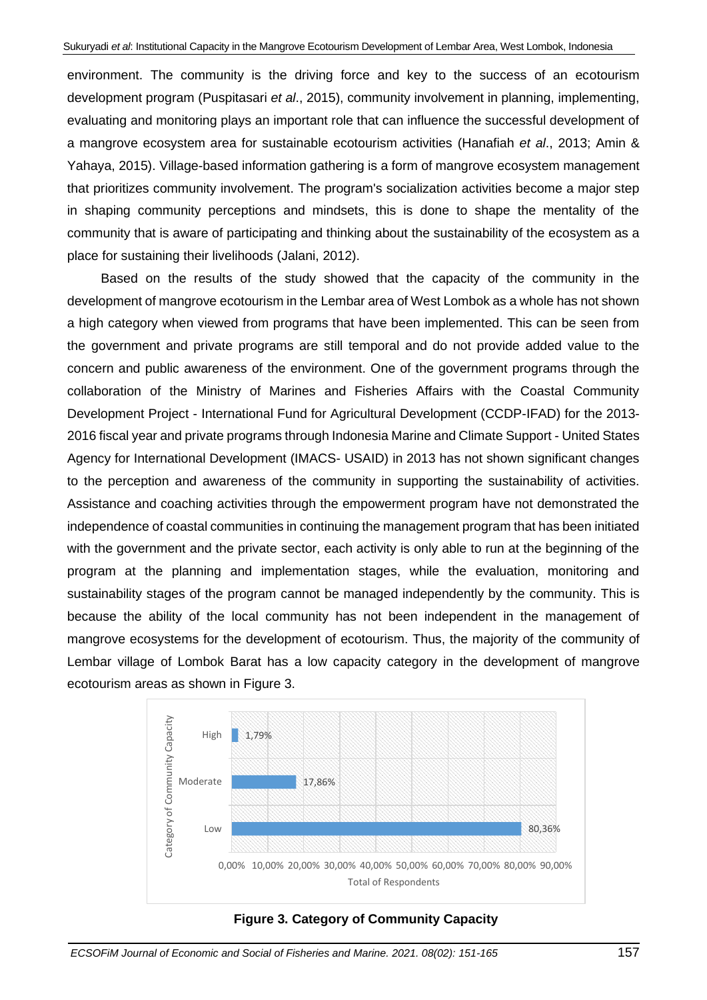environment. The community is the driving force and key to the success of an ecotourism development program (Puspitasari *et al*., 2015), community involvement in planning, implementing, evaluating and monitoring plays an important role that can influence the successful development of a mangrove ecosystem area for sustainable ecotourism activities (Hanafiah *et al*., 2013; Amin & Yahaya, 2015). Village-based information gathering is a form of mangrove ecosystem management that prioritizes community involvement. The program's socialization activities become a major step in shaping community perceptions and mindsets, this is done to shape the mentality of the community that is aware of participating and thinking about the sustainability of the ecosystem as a place for sustaining their livelihoods (Jalani, 2012).

Based on the results of the study showed that the capacity of the community in the development of mangrove ecotourism in the Lembar area of West Lombok as a whole has not shown a high category when viewed from programs that have been implemented. This can be seen from the government and private programs are still temporal and do not provide added value to the concern and public awareness of the environment. One of the government programs through the collaboration of the Ministry of Marines and Fisheries Affairs with the Coastal Community Development Project - International Fund for Agricultural Development (CCDP-IFAD) for the 2013- 2016 fiscal year and private programs through Indonesia Marine and Climate Support - United States Agency for International Development (IMACS- USAID) in 2013 has not shown significant changes to the perception and awareness of the community in supporting the sustainability of activities. Assistance and coaching activities through the empowerment program have not demonstrated the independence of coastal communities in continuing the management program that has been initiated with the government and the private sector, each activity is only able to run at the beginning of the program at the planning and implementation stages, while the evaluation, monitoring and sustainability stages of the program cannot be managed independently by the community. This is because the ability of the local community has not been independent in the management of mangrove ecosystems for the development of ecotourism. Thus, the majority of the community of Lembar village of Lombok Barat has a low capacity category in the development of mangrove ecotourism areas as shown in Figure 3.



**Figure 3. Category of Community Capacity**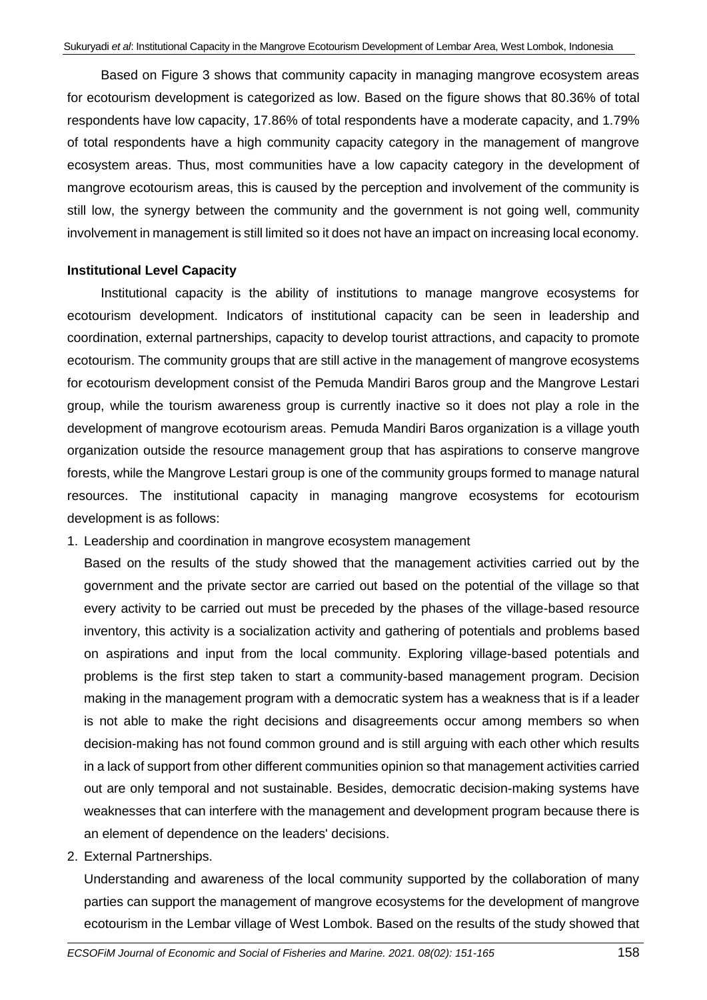Based on Figure 3 shows that community capacity in managing mangrove ecosystem areas for ecotourism development is categorized as low. Based on the figure shows that 80.36% of total respondents have low capacity, 17.86% of total respondents have a moderate capacity, and 1.79% of total respondents have a high community capacity category in the management of mangrove ecosystem areas. Thus, most communities have a low capacity category in the development of mangrove ecotourism areas, this is caused by the perception and involvement of the community is still low, the synergy between the community and the government is not going well, community involvement in management is still limited so it does not have an impact on increasing local economy.

#### **Institutional Level Capacity**

Institutional capacity is the ability of institutions to manage mangrove ecosystems for ecotourism development. Indicators of institutional capacity can be seen in leadership and coordination, external partnerships, capacity to develop tourist attractions, and capacity to promote ecotourism. The community groups that are still active in the management of mangrove ecosystems for ecotourism development consist of the Pemuda Mandiri Baros group and the Mangrove Lestari group, while the tourism awareness group is currently inactive so it does not play a role in the development of mangrove ecotourism areas. Pemuda Mandiri Baros organization is a village youth organization outside the resource management group that has aspirations to conserve mangrove forests, while the Mangrove Lestari group is one of the community groups formed to manage natural resources. The institutional capacity in managing mangrove ecosystems for ecotourism development is as follows:

1. Leadership and coordination in mangrove ecosystem management

Based on the results of the study showed that the management activities carried out by the government and the private sector are carried out based on the potential of the village so that every activity to be carried out must be preceded by the phases of the village-based resource inventory, this activity is a socialization activity and gathering of potentials and problems based on aspirations and input from the local community. Exploring village-based potentials and problems is the first step taken to start a community-based management program. Decision making in the management program with a democratic system has a weakness that is if a leader is not able to make the right decisions and disagreements occur among members so when decision-making has not found common ground and is still arguing with each other which results in a lack of support from other different communities opinion so that management activities carried out are only temporal and not sustainable. Besides, democratic decision-making systems have weaknesses that can interfere with the management and development program because there is an element of dependence on the leaders' decisions.

2. External Partnerships.

Understanding and awareness of the local community supported by the collaboration of many parties can support the management of mangrove ecosystems for the development of mangrove ecotourism in the Lembar village of West Lombok. Based on the results of the study showed that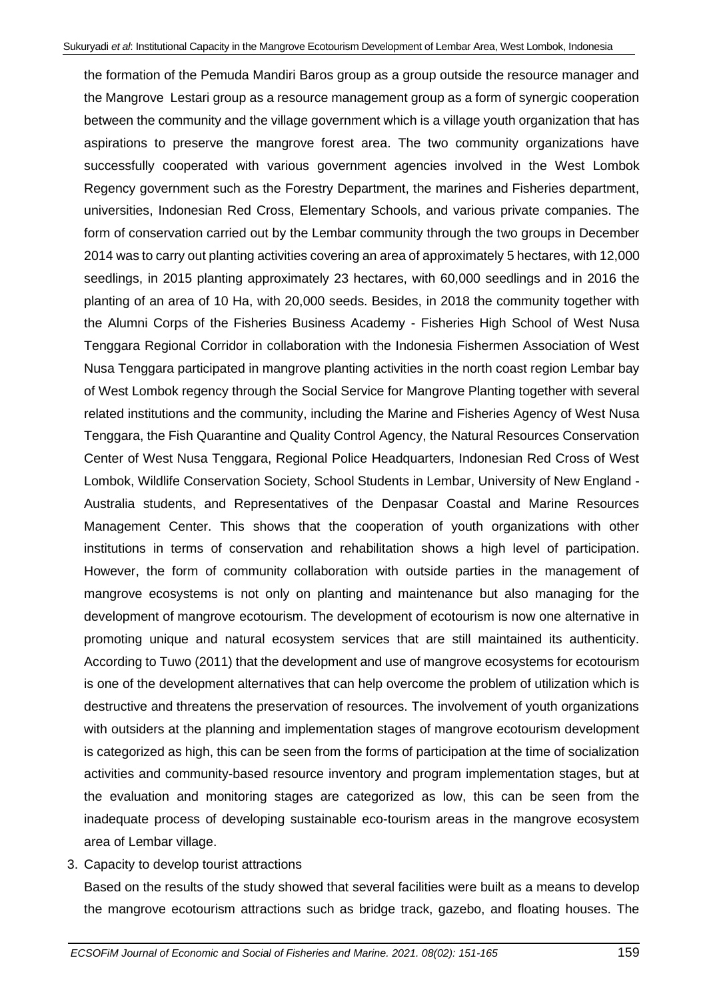the formation of the Pemuda Mandiri Baros group as a group outside the resource manager and the Mangrove Lestari group as a resource management group as a form of synergic cooperation between the community and the village government which is a village youth organization that has aspirations to preserve the mangrove forest area. The two community organizations have successfully cooperated with various government agencies involved in the West Lombok Regency government such as the Forestry Department, the marines and Fisheries department, universities, Indonesian Red Cross, Elementary Schools, and various private companies. The form of conservation carried out by the Lembar community through the two groups in December 2014 was to carry out planting activities covering an area of approximately 5 hectares, with 12,000 seedlings, in 2015 planting approximately 23 hectares, with 60,000 seedlings and in 2016 the planting of an area of 10 Ha, with 20,000 seeds. Besides, in 2018 the community together with the Alumni Corps of the Fisheries Business Academy - Fisheries High School of West Nusa Tenggara Regional Corridor in collaboration with the Indonesia Fishermen Association of West Nusa Tenggara participated in mangrove planting activities in the north coast region Lembar bay of West Lombok regency through the Social Service for Mangrove Planting together with several related institutions and the community, including the Marine and Fisheries Agency of West Nusa Tenggara, the Fish Quarantine and Quality Control Agency, the Natural Resources Conservation Center of West Nusa Tenggara, Regional Police Headquarters, Indonesian Red Cross of West Lombok, Wildlife Conservation Society, School Students in Lembar, University of New England - Australia students, and Representatives of the Denpasar Coastal and Marine Resources Management Center. This shows that the cooperation of youth organizations with other institutions in terms of conservation and rehabilitation shows a high level of participation. However, the form of community collaboration with outside parties in the management of mangrove ecosystems is not only on planting and maintenance but also managing for the development of mangrove ecotourism. The development of ecotourism is now one alternative in promoting unique and natural ecosystem services that are still maintained its authenticity. According to Tuwo (2011) that the development and use of mangrove ecosystems for ecotourism is one of the development alternatives that can help overcome the problem of utilization which is destructive and threatens the preservation of resources. The involvement of youth organizations with outsiders at the planning and implementation stages of mangrove ecotourism development is categorized as high, this can be seen from the forms of participation at the time of socialization activities and community-based resource inventory and program implementation stages, but at the evaluation and monitoring stages are categorized as low, this can be seen from the inadequate process of developing sustainable eco-tourism areas in the mangrove ecosystem area of Lembar village.

3. Capacity to develop tourist attractions

Based on the results of the study showed that several facilities were built as a means to develop the mangrove ecotourism attractions such as bridge track, gazebo, and floating houses. The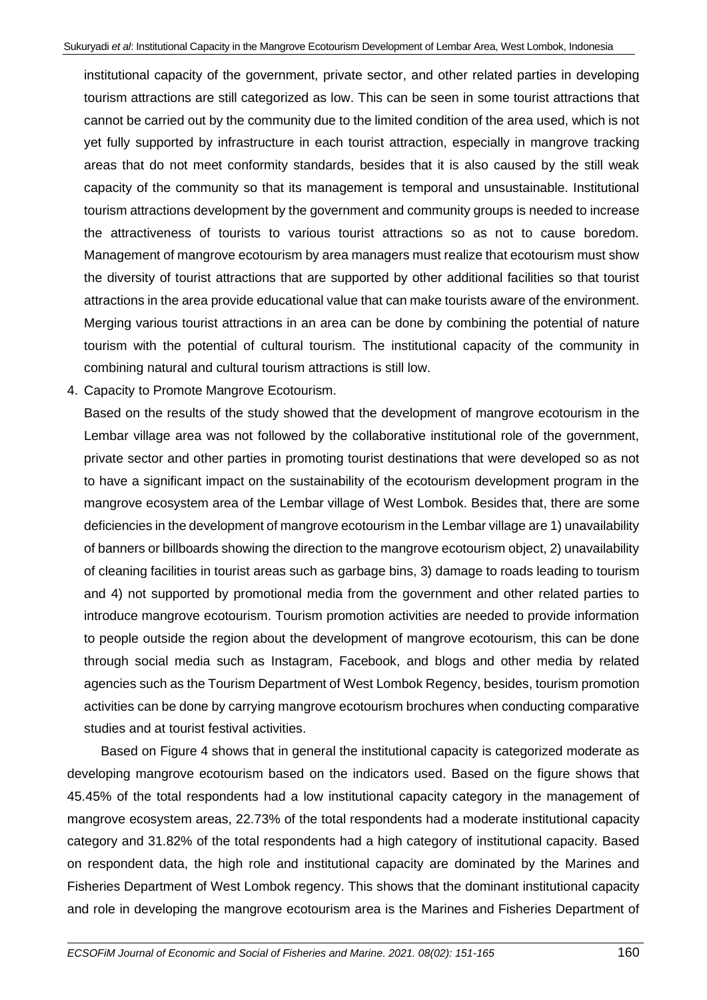institutional capacity of the government, private sector, and other related parties in developing tourism attractions are still categorized as low. This can be seen in some tourist attractions that cannot be carried out by the community due to the limited condition of the area used, which is not yet fully supported by infrastructure in each tourist attraction, especially in mangrove tracking areas that do not meet conformity standards, besides that it is also caused by the still weak capacity of the community so that its management is temporal and unsustainable. Institutional tourism attractions development by the government and community groups is needed to increase the attractiveness of tourists to various tourist attractions so as not to cause boredom. Management of mangrove ecotourism by area managers must realize that ecotourism must show the diversity of tourist attractions that are supported by other additional facilities so that tourist attractions in the area provide educational value that can make tourists aware of the environment. Merging various tourist attractions in an area can be done by combining the potential of nature tourism with the potential of cultural tourism. The institutional capacity of the community in combining natural and cultural tourism attractions is still low.

4. Capacity to Promote Mangrove Ecotourism.

Based on the results of the study showed that the development of mangrove ecotourism in the Lembar village area was not followed by the collaborative institutional role of the government, private sector and other parties in promoting tourist destinations that were developed so as not to have a significant impact on the sustainability of the ecotourism development program in the mangrove ecosystem area of the Lembar village of West Lombok. Besides that, there are some deficiencies in the development of mangrove ecotourism in the Lembar village are 1) unavailability of banners or billboards showing the direction to the mangrove ecotourism object, 2) unavailability of cleaning facilities in tourist areas such as garbage bins, 3) damage to roads leading to tourism and 4) not supported by promotional media from the government and other related parties to introduce mangrove ecotourism. Tourism promotion activities are needed to provide information to people outside the region about the development of mangrove ecotourism, this can be done through social media such as Instagram, Facebook, and blogs and other media by related agencies such as the Tourism Department of West Lombok Regency, besides, tourism promotion activities can be done by carrying mangrove ecotourism brochures when conducting comparative studies and at tourist festival activities.

Based on Figure 4 shows that in general the institutional capacity is categorized moderate as developing mangrove ecotourism based on the indicators used. Based on the figure shows that 45.45% of the total respondents had a low institutional capacity category in the management of mangrove ecosystem areas, 22.73% of the total respondents had a moderate institutional capacity category and 31.82% of the total respondents had a high category of institutional capacity. Based on respondent data, the high role and institutional capacity are dominated by the Marines and Fisheries Department of West Lombok regency. This shows that the dominant institutional capacity and role in developing the mangrove ecotourism area is the Marines and Fisheries Department of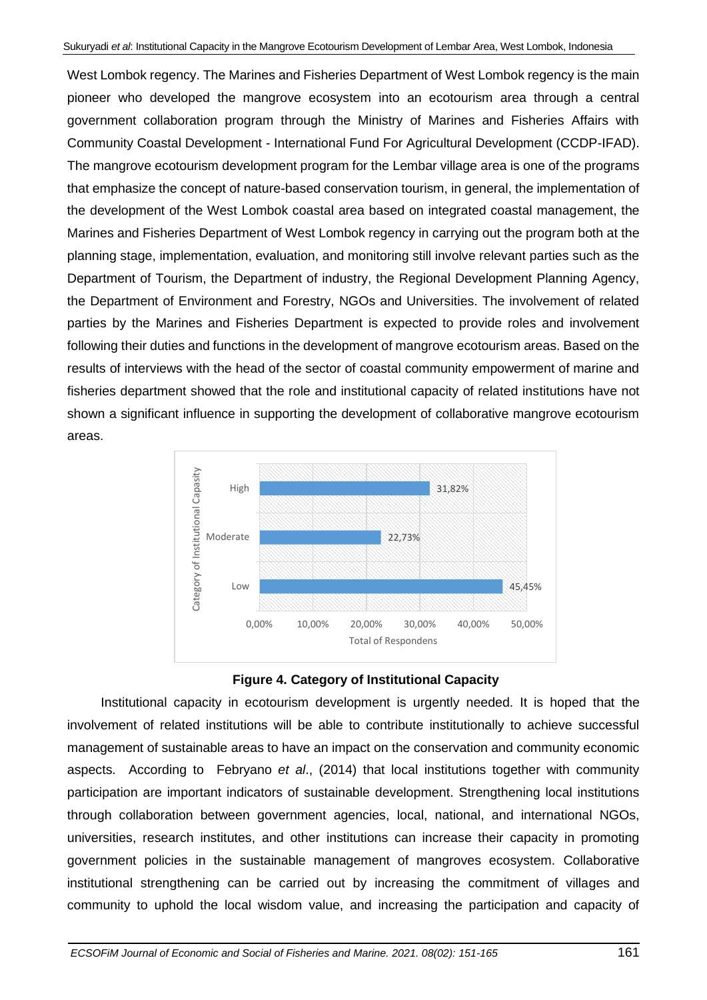West Lombok regency. The Marines and Fisheries Department of West Lombok regency is the main pioneer who developed the mangrove ecosystem into an ecotourism area through a central government collaboration program through the Ministry of Marines and Fisheries Affairs with Community Coastal Development - International Fund For Agricultural Development (CCDP-IFAD). The mangrove ecotourism development program for the Lembar village area is one of the programs that emphasize the concept of nature-based conservation tourism, in general, the implementation of the development of the West Lombok coastal area based on integrated coastal management, the Marines and Fisheries Department of West Lombok regency in carrying out the program both at the planning stage, implementation, evaluation, and monitoring still involve relevant parties such as the Department of Tourism, the Department of industry, the Regional Development Planning Agency, the Department of Environment and Forestry, NGOs and Universities. The involvement of related parties by the Marines and Fisheries Department is expected to provide roles and involvement following their duties and functions in the development of mangrove ecotourism areas. Based on the results of interviews with the head of the sector of coastal community empowerment of marine and fisheries department showed that the role and institutional capacity of related institutions have not shown a significant influence in supporting the development of collaborative mangrove ecotourism areas.





Institutional capacity in ecotourism development is urgently needed. It is hoped that the involvement of related institutions will be able to contribute institutionally to achieve successful management of sustainable areas to have an impact on the conservation and community economic aspects. According to Febryano *et al*., (2014) that local institutions together with community participation are important indicators of sustainable development. Strengthening local institutions through collaboration between government agencies, local, national, and international NGOs, universities, research institutes, and other institutions can increase their capacity in promoting government policies in the sustainable management of mangroves ecosystem. Collaborative institutional strengthening can be carried out by increasing the commitment of villages and community to uphold the local wisdom value, and increasing the participation and capacity of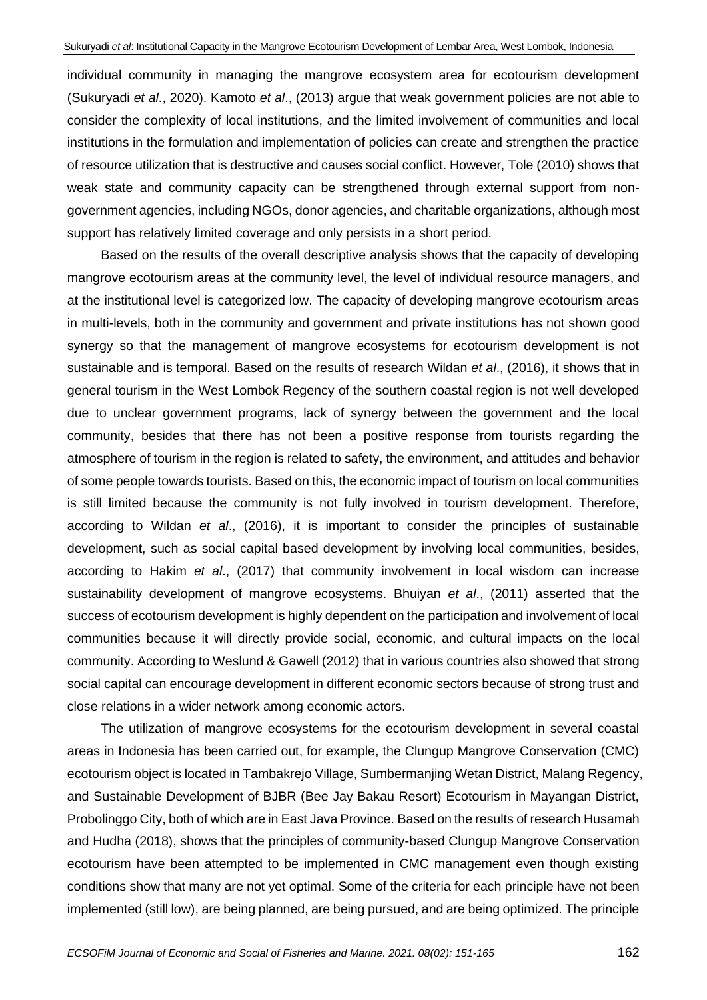individual community in managing the mangrove ecosystem area for ecotourism development (Sukuryadi *et al*., 2020). Kamoto *et al*., (2013) argue that weak government policies are not able to consider the complexity of local institutions, and the limited involvement of communities and local institutions in the formulation and implementation of policies can create and strengthen the practice of resource utilization that is destructive and causes social conflict. However, Tole (2010) shows that weak state and community capacity can be strengthened through external support from nongovernment agencies, including NGOs, donor agencies, and charitable organizations, although most support has relatively limited coverage and only persists in a short period.

Based on the results of the overall descriptive analysis shows that the capacity of developing mangrove ecotourism areas at the community level, the level of individual resource managers, and at the institutional level is categorized low. The capacity of developing mangrove ecotourism areas in multi-levels, both in the community and government and private institutions has not shown good synergy so that the management of mangrove ecosystems for ecotourism development is not sustainable and is temporal. Based on the results of research Wildan *et al*., (2016), it shows that in general tourism in the West Lombok Regency of the southern coastal region is not well developed due to unclear government programs, lack of synergy between the government and the local community, besides that there has not been a positive response from tourists regarding the atmosphere of tourism in the region is related to safety, the environment, and attitudes and behavior of some people towards tourists. Based on this, the economic impact of tourism on local communities is still limited because the community is not fully involved in tourism development. Therefore, according to Wildan *et al*., (2016), it is important to consider the principles of sustainable development, such as social capital based development by involving local communities, besides, according to Hakim *et al*., (2017) that community involvement in local wisdom can increase sustainability development of mangrove ecosystems. Bhuiyan *et al*., (2011) asserted that the success of ecotourism development is highly dependent on the participation and involvement of local communities because it will directly provide social, economic, and cultural impacts on the local community. According to Weslund & Gawell (2012) that in various countries also showed that strong social capital can encourage development in different economic sectors because of strong trust and close relations in a wider network among economic actors.

The utilization of mangrove ecosystems for the ecotourism development in several coastal areas in Indonesia has been carried out, for example, the Clungup Mangrove Conservation (CMC) ecotourism object is located in Tambakrejo Village, Sumbermanjing Wetan District, Malang Regency, and Sustainable Development of BJBR (Bee Jay Bakau Resort) Ecotourism in Mayangan District, Probolinggo City, both of which are in East Java Province. Based on the results of research Husamah and Hudha (2018), shows that the principles of community-based Clungup Mangrove Conservation ecotourism have been attempted to be implemented in CMC management even though existing conditions show that many are not yet optimal. Some of the criteria for each principle have not been implemented (still low), are being planned, are being pursued, and are being optimized. The principle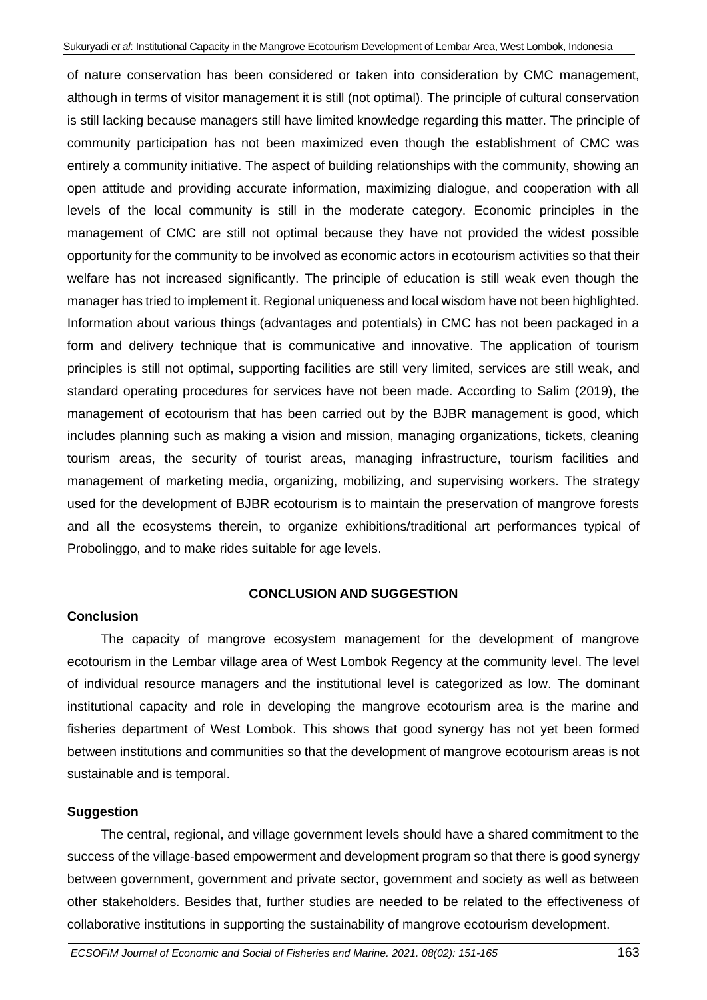of nature conservation has been considered or taken into consideration by CMC management, although in terms of visitor management it is still (not optimal). The principle of cultural conservation is still lacking because managers still have limited knowledge regarding this matter. The principle of community participation has not been maximized even though the establishment of CMC was entirely a community initiative. The aspect of building relationships with the community, showing an open attitude and providing accurate information, maximizing dialogue, and cooperation with all levels of the local community is still in the moderate category. Economic principles in the management of CMC are still not optimal because they have not provided the widest possible opportunity for the community to be involved as economic actors in ecotourism activities so that their welfare has not increased significantly. The principle of education is still weak even though the manager has tried to implement it. Regional uniqueness and local wisdom have not been highlighted. Information about various things (advantages and potentials) in CMC has not been packaged in a form and delivery technique that is communicative and innovative. The application of tourism principles is still not optimal, supporting facilities are still very limited, services are still weak, and standard operating procedures for services have not been made. According to Salim (2019), the management of ecotourism that has been carried out by the BJBR management is good, which includes planning such as making a vision and mission, managing organizations, tickets, cleaning tourism areas, the security of tourist areas, managing infrastructure, tourism facilities and management of marketing media, organizing, mobilizing, and supervising workers. The strategy used for the development of BJBR ecotourism is to maintain the preservation of mangrove forests and all the ecosystems therein, to organize exhibitions/traditional art performances typical of Probolinggo, and to make rides suitable for age levels.

# **CONCLUSION AND SUGGESTION**

# **Conclusion**

The capacity of mangrove ecosystem management for the development of mangrove ecotourism in the Lembar village area of West Lombok Regency at the community level. The level of individual resource managers and the institutional level is categorized as low. The dominant institutional capacity and role in developing the mangrove ecotourism area is the marine and fisheries department of West Lombok. This shows that good synergy has not yet been formed between institutions and communities so that the development of mangrove ecotourism areas is not sustainable and is temporal.

# **Suggestion**

The central, regional, and village government levels should have a shared commitment to the success of the village-based empowerment and development program so that there is good synergy between government, government and private sector, government and society as well as between other stakeholders. Besides that, further studies are needed to be related to the effectiveness of collaborative institutions in supporting the sustainability of mangrove ecotourism development.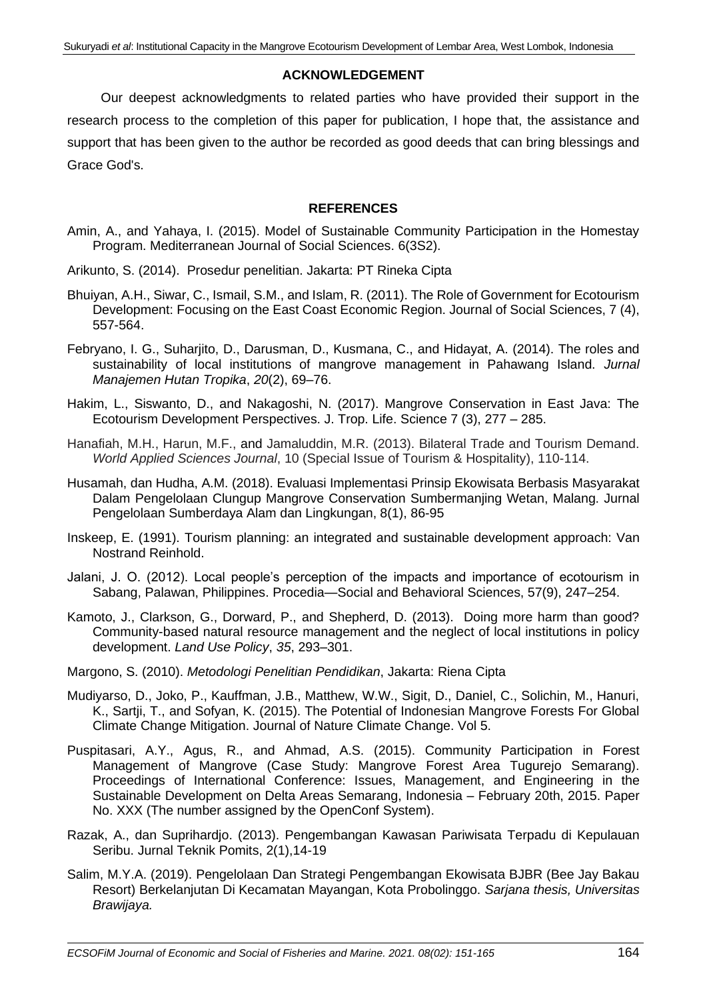## **ACKNOWLEDGEMENT**

Our deepest acknowledgments to related parties who have provided their support in the research process to the completion of this paper for publication, I hope that, the assistance and support that has been given to the author be recorded as good deeds that can bring blessings and Grace God's.

### **REFERENCES**

- Amin, A., and Yahaya, I. (2015). Model of Sustainable Community Participation in the Homestay Program. Mediterranean Journal of Social Sciences. 6(3S2).
- Arikunto, S. (2014). Prosedur penelitian. Jakarta: PT Rineka Cipta
- Bhuiyan, A.H., Siwar, C., Ismail, S.M., and Islam, R. (2011). The Role of Government for Ecotourism Development: Focusing on the East Coast Economic Region. Journal of Social Sciences, 7 (4), 557-564.
- Febryano, I. G., Suharjito, D., Darusman, D., Kusmana, C., and Hidayat, A. (2014). The roles and sustainability of local institutions of mangrove management in Pahawang Island. *Jurnal Manajemen Hutan Tropika*, *20*(2), 69–76.
- Hakim, L., Siswanto, D., and Nakagoshi, N. (2017). Mangrove Conservation in East Java: The Ecotourism Development Perspectives. J. Trop. Life. Science 7 (3), 277 – 285.
- Hanafiah, M.H., Harun, M.F., and Jamaluddin, M.R. (2013). Bilateral Trade and Tourism Demand. *World Applied Sciences Journal*, 10 (Special Issue of Tourism & Hospitality), 110-114.
- Husamah, dan Hudha, A.M. (2018). Evaluasi Implementasi Prinsip Ekowisata Berbasis Masyarakat Dalam Pengelolaan Clungup Mangrove Conservation Sumbermanjing Wetan, Malang. Jurnal Pengelolaan Sumberdaya Alam dan Lingkungan, 8(1), 86-95
- Inskeep, E. (1991). Tourism planning: an integrated and sustainable development approach: Van Nostrand Reinhold.
- Jalani, J. O. (2012). Local people's perception of the impacts and importance of ecotourism in Sabang, Palawan, Philippines. Procedia—Social and Behavioral Sciences, 57(9), 247–254.
- Kamoto, J., Clarkson, G., Dorward, P., and Shepherd, D. (2013). Doing more harm than good? Community-based natural resource management and the neglect of local institutions in policy development. *Land Use Policy*, *35*, 293–301.
- Margono, S. (2010). *Metodologi Penelitian Pendidikan*, Jakarta: Riena Cipta
- Mudiyarso, D., Joko, P., Kauffman, J.B., Matthew, W.W., Sigit, D., Daniel, C., Solichin, M., Hanuri, K., Sartji, T., and Sofyan, K. (2015). The Potential of Indonesian Mangrove Forests For Global Climate Change Mitigation. Journal of Nature Climate Change. Vol 5.
- Puspitasari, A.Y., Agus, R., and Ahmad, A.S. (2015). Community Participation in Forest Management of Mangrove (Case Study: Mangrove Forest Area Tugurejo Semarang). Proceedings of International Conference: Issues, Management, and Engineering in the Sustainable Development on Delta Areas Semarang, Indonesia – February 20th, 2015. Paper No. XXX (The number assigned by the OpenConf System).
- Razak, A., dan Suprihardjo. (2013). Pengembangan Kawasan Pariwisata Terpadu di Kepulauan Seribu. Jurnal Teknik Pomits, 2(1),14-19
- Salim, M.Y.A. (2019). Pengelolaan Dan Strategi Pengembangan Ekowisata BJBR (Bee Jay Bakau Resort) Berkelanjutan Di Kecamatan Mayangan, Kota Probolinggo. *Sarjana thesis, Universitas Brawijaya.*